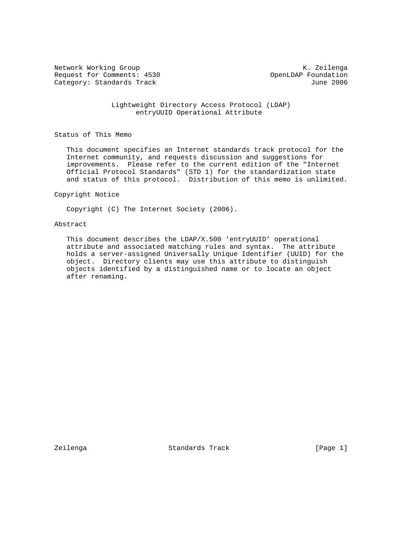Network Working Group and Months and Months and Months and Months and Months and Months and Months and Months and Months and Months and Months and Months and Months and Months and Months and Months and Months and Months an Request for Comments: 4530 OpenLDAP Foundation<br>Category: Standards Track The Category: Standards Track Category: Standards Track

 Lightweight Directory Access Protocol (LDAP) entryUUID Operational Attribute

Status of This Memo

 This document specifies an Internet standards track protocol for the Internet community, and requests discussion and suggestions for improvements. Please refer to the current edition of the "Internet Official Protocol Standards" (STD 1) for the standardization state and status of this protocol. Distribution of this memo is unlimited.

#### Copyright Notice

Copyright (C) The Internet Society (2006).

### Abstract

 This document describes the LDAP/X.500 'entryUUID' operational attribute and associated matching rules and syntax. The attribute holds a server-assigned Universally Unique Identifier (UUID) for the object. Directory clients may use this attribute to distinguish objects identified by a distinguished name or to locate an object after renaming.

Zeilenga Standards Track [Page 1]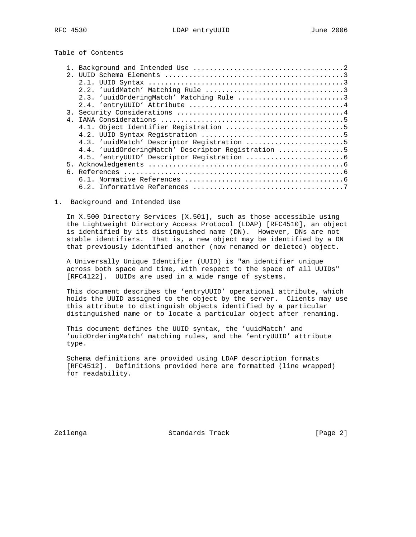# Table of Contents

| 2.1 |                                                    |
|-----|----------------------------------------------------|
|     |                                                    |
|     |                                                    |
|     | 2.3. 'uuidOrderingMatch' Matching Rule 3           |
|     |                                                    |
|     |                                                    |
|     |                                                    |
|     |                                                    |
|     |                                                    |
|     | 4.3. 'uuidMatch' Descriptor Registration 5         |
|     | 4.4. 'uuidOrderingMatch' Descriptor Registration 5 |
|     |                                                    |
|     |                                                    |
|     |                                                    |
|     |                                                    |
|     |                                                    |

### 1. Background and Intended Use

 In X.500 Directory Services [X.501], such as those accessible using the Lightweight Directory Access Protocol (LDAP) [RFC4510], an object is identified by its distinguished name (DN). However, DNs are not stable identifiers. That is, a new object may be identified by a DN that previously identified another (now renamed or deleted) object.

 A Universally Unique Identifier (UUID) is "an identifier unique across both space and time, with respect to the space of all UUIDs" [RFC4122]. UUIDs are used in a wide range of systems.

 This document describes the 'entryUUID' operational attribute, which holds the UUID assigned to the object by the server. Clients may use this attribute to distinguish objects identified by a particular distinguished name or to locate a particular object after renaming.

 This document defines the UUID syntax, the 'uuidMatch' and 'uuidOrderingMatch' matching rules, and the 'entryUUID' attribute type.

 Schema definitions are provided using LDAP description formats [RFC4512]. Definitions provided here are formatted (line wrapped) for readability.

Zeilenga Standards Track [Page 2]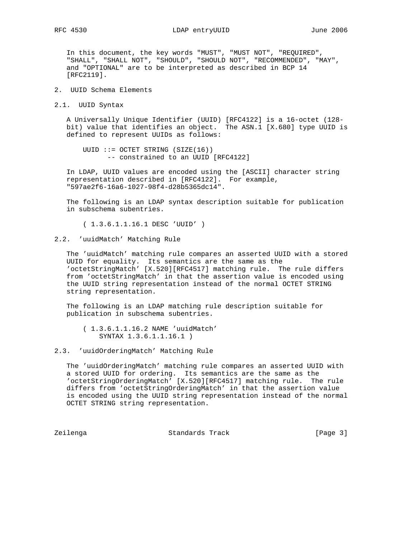In this document, the key words "MUST", "MUST NOT", "REQUIRED", "SHALL", "SHALL NOT", "SHOULD", "SHOULD NOT", "RECOMMENDED", "MAY", and "OPTIONAL" are to be interpreted as described in BCP 14 [RFC2119].

2. UUID Schema Elements

2.1. UUID Syntax

 A Universally Unique Identifier (UUID) [RFC4122] is a 16-octet (128 bit) value that identifies an object. The ASN.1 [X.680] type UUID is defined to represent UUIDs as follows:

 UUID ::= OCTET STRING (SIZE(16)) -- constrained to an UUID [RFC4122]

 In LDAP, UUID values are encoded using the [ASCII] character string representation described in [RFC4122]. For example, "597ae2f6-16a6-1027-98f4-d28b5365dc14".

 The following is an LDAP syntax description suitable for publication in subschema subentries.

( 1.3.6.1.1.16.1 DESC 'UUID' )

2.2. 'uuidMatch' Matching Rule

 The 'uuidMatch' matching rule compares an asserted UUID with a stored UUID for equality. Its semantics are the same as the 'octetStringMatch' [X.520][RFC4517] matching rule. The rule differs from 'octetStringMatch' in that the assertion value is encoded using the UUID string representation instead of the normal OCTET STRING string representation.

 The following is an LDAP matching rule description suitable for publication in subschema subentries.

- ( 1.3.6.1.1.16.2 NAME 'uuidMatch' SYNTAX 1.3.6.1.1.16.1 )
- 2.3. 'uuidOrderingMatch' Matching Rule

 The 'uuidOrderingMatch' matching rule compares an asserted UUID with a stored UUID for ordering. Its semantics are the same as the 'octetStringOrderingMatch' [X.520][RFC4517] matching rule. The rule differs from 'octetStringOrderingMatch' in that the assertion value is encoded using the UUID string representation instead of the normal OCTET STRING string representation.

Zeilenga Standards Track [Page 3]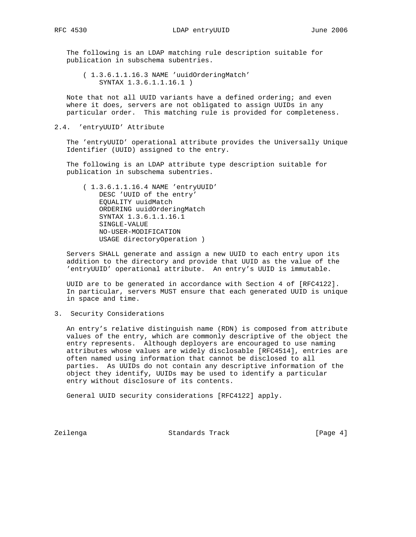The following is an LDAP matching rule description suitable for publication in subschema subentries.

 ( 1.3.6.1.1.16.3 NAME 'uuidOrderingMatch' SYNTAX 1.3.6.1.1.16.1 )

 Note that not all UUID variants have a defined ordering; and even where it does, servers are not obligated to assign UUIDs in any particular order. This matching rule is provided for completeness.

2.4. 'entryUUID' Attribute

 The 'entryUUID' operational attribute provides the Universally Unique Identifier (UUID) assigned to the entry.

 The following is an LDAP attribute type description suitable for publication in subschema subentries.

 ( 1.3.6.1.1.16.4 NAME 'entryUUID' DESC 'UUID of the entry' EQUALITY uuidMatch ORDERING uuidOrderingMatch SYNTAX 1.3.6.1.1.16.1 SINGLE-VALUE NO-USER-MODIFICATION USAGE directoryOperation )

 Servers SHALL generate and assign a new UUID to each entry upon its addition to the directory and provide that UUID as the value of the 'entryUUID' operational attribute. An entry's UUID is immutable.

 UUID are to be generated in accordance with Section 4 of [RFC4122]. In particular, servers MUST ensure that each generated UUID is unique in space and time.

3. Security Considerations

 An entry's relative distinguish name (RDN) is composed from attribute values of the entry, which are commonly descriptive of the object the entry represents. Although deployers are encouraged to use naming attributes whose values are widely disclosable [RFC4514], entries are often named using information that cannot be disclosed to all parties. As UUIDs do not contain any descriptive information of the object they identify, UUIDs may be used to identify a particular entry without disclosure of its contents.

General UUID security considerations [RFC4122] apply.

Zeilenga Standards Track [Page 4]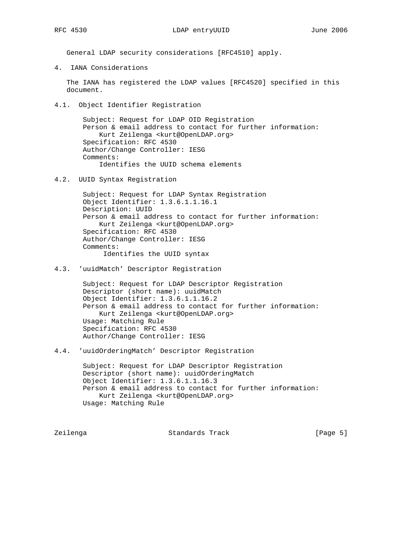General LDAP security considerations [RFC4510] apply.

4. IANA Considerations

 The IANA has registered the LDAP values [RFC4520] specified in this document.

4.1. Object Identifier Registration

 Subject: Request for LDAP OID Registration Person & email address to contact for further information: Kurt Zeilenga <kurt@OpenLDAP.org> Specification: RFC 4530 Author/Change Controller: IESG Comments: Identifies the UUID schema elements

4.2. UUID Syntax Registration

 Subject: Request for LDAP Syntax Registration Object Identifier: 1.3.6.1.1.16.1 Description: UUID Person & email address to contact for further information: Kurt Zeilenga <kurt@OpenLDAP.org> Specification: RFC 4530 Author/Change Controller: IESG Comments: Identifies the UUID syntax

4.3. 'uuidMatch' Descriptor Registration

 Subject: Request for LDAP Descriptor Registration Descriptor (short name): uuidMatch Object Identifier: 1.3.6.1.1.16.2 Person & email address to contact for further information: Kurt Zeilenga <kurt@OpenLDAP.org> Usage: Matching Rule Specification: RFC 4530 Author/Change Controller: IESG

4.4. 'uuidOrderingMatch' Descriptor Registration

 Subject: Request for LDAP Descriptor Registration Descriptor (short name): uuidOrderingMatch Object Identifier: 1.3.6.1.1.16.3 Person & email address to contact for further information: Kurt Zeilenga <kurt@OpenLDAP.org> Usage: Matching Rule

Zeilenga Standards Track [Page 5]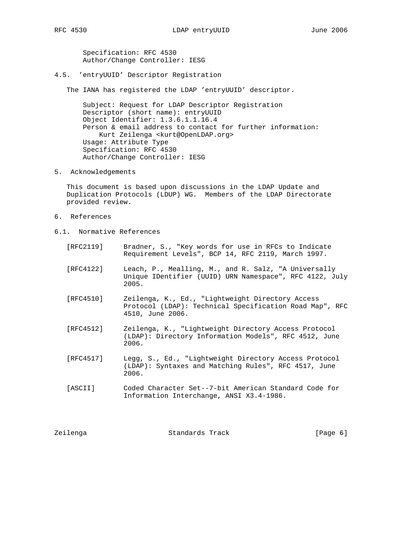Specification: RFC 4530 Author/Change Controller: IESG

4.5. 'entryUUID' Descriptor Registration

The IANA has registered the LDAP 'entryUUID' descriptor.

 Subject: Request for LDAP Descriptor Registration Descriptor (short name): entryUUID Object Identifier: 1.3.6.1.1.16.4 Person & email address to contact for further information: Kurt Zeilenga <kurt@OpenLDAP.org> Usage: Attribute Type Specification: RFC 4530 Author/Change Controller: IESG

5. Acknowledgements

 This document is based upon discussions in the LDAP Update and Duplication Protocols (LDUP) WG. Members of the LDAP Directorate provided review.

- 6. References
- 6.1. Normative References
	- [RFC2119] Bradner, S., "Key words for use in RFCs to Indicate Requirement Levels", BCP 14, RFC 2119, March 1997.
	- [RFC4122] Leach, P., Mealling, M., and R. Salz, "A Universally Unique IDentifier (UUID) URN Namespace", RFC 4122, July 2005.
	- [RFC4510] Zeilenga, K., Ed., "Lightweight Directory Access Protocol (LDAP): Technical Specification Road Map", RFC 4510, June 2006.
	- [RFC4512] Zeilenga, K., "Lightweight Directory Access Protocol (LDAP): Directory Information Models", RFC 4512, June 2006.
	- [RFC4517] Legg, S., Ed., "Lightweight Directory Access Protocol (LDAP): Syntaxes and Matching Rules", RFC 4517, June 2006.
	- [ASCII] Coded Character Set--7-bit American Standard Code for Information Interchange, ANSI X3.4-1986.

| Zeilenga | Standards Track | [Page 6] |  |
|----------|-----------------|----------|--|
|          |                 |          |  |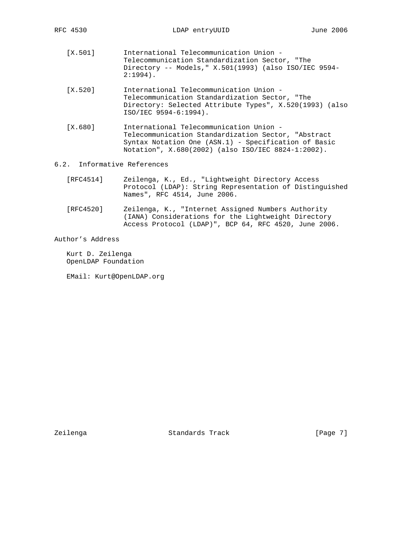- [X.501] International Telecommunication Union Telecommunication Standardization Sector, "The Directory -- Models," X.501(1993) (also ISO/IEC 9594- 2:1994).
- [X.520] International Telecommunication Union Telecommunication Standardization Sector, "The Directory: Selected Attribute Types", X.520(1993) (also ISO/IEC 9594-6:1994).
- [X.680] International Telecommunication Union Telecommunication Standardization Sector, "Abstract Syntax Notation One (ASN.1) - Specification of Basic Notation", X.680(2002) (also ISO/IEC 8824-1:2002).

## 6.2. Informative References

- [RFC4514] Zeilenga, K., Ed., "Lightweight Directory Access Protocol (LDAP): String Representation of Distinguished Names", RFC 4514, June 2006.
- [RFC4520] Zeilenga, K., "Internet Assigned Numbers Authority (IANA) Considerations for the Lightweight Directory Access Protocol (LDAP)", BCP 64, RFC 4520, June 2006.

Author's Address

 Kurt D. Zeilenga OpenLDAP Foundation

EMail: Kurt@OpenLDAP.org

Zeilenga Standards Track [Page 7]